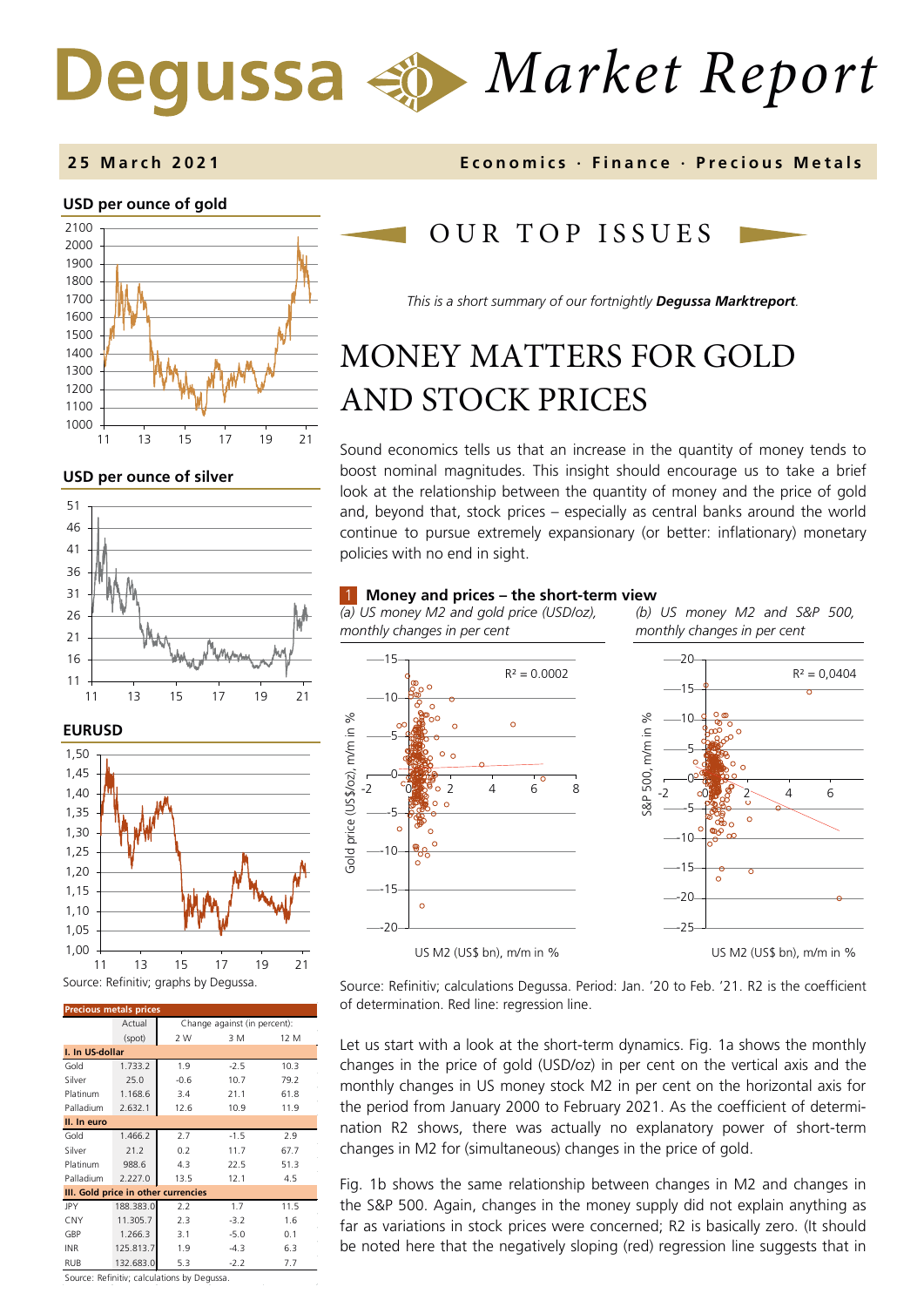# *Market Report*

## **USD per ounce of gold**



**USD per ounce of silver** 



## **EURUSD**



| <b>Precious metals prices</b>       |           |                              |        |      |  |
|-------------------------------------|-----------|------------------------------|--------|------|--|
|                                     | Actual    | Change against (in percent): |        |      |  |
|                                     | (spot)    | 2 W                          | 3 M    | 12 M |  |
| I. In US-dollar                     |           |                              |        |      |  |
| Gold                                | 1.733.2   | 1.9                          | $-2.5$ | 10.3 |  |
| Silver                              | 25.0      | $-0.6$                       | 10.7   | 79.2 |  |
| Platinum                            | 1.168.6   | 3.4                          | 21.1   | 61.8 |  |
| Palladium                           | 2.632.1   | 12.6                         | 10.9   | 11.9 |  |
| II. In euro                         |           |                              |        |      |  |
| Gold                                | 1.466.2   | 2.7                          | $-1.5$ | 2.9  |  |
| Silver                              | 21.2      | 0.2                          | 11.7   | 67.7 |  |
| Platinum                            | 988.6     | 4.3                          | 22.5   | 51.3 |  |
| Palladium                           | 2.227.0   | 13.5                         | 12.1   | 4.5  |  |
| III. Gold price in other currencies |           |                              |        |      |  |
| JPY                                 | 188.383.0 | 2.2                          | 1.7    | 11.5 |  |
| <b>CNY</b>                          | 11.305.7  | 2.3                          | $-3.2$ | 1.6  |  |
| GBP                                 | 1.266.3   | 3.1                          | $-5.0$ | 0.1  |  |
| <b>INR</b>                          | 125.813.7 | 1.9                          | $-4.3$ | 6.3  |  |
| <b>RUB</b>                          | 132.683.0 | 5.3                          | $-2.2$ | 7.7  |  |

**2 5 March 202 1 Economics · Finance · Precious M etals**

## OUR TOP ISSUE S

*This is a short summary of our fortnightly Degussa Marktreport.*

## MONEY MATTERS FOR GOLD AND STOCK PRICES

Sound economics tells us that an increase in the quantity of money tends to boost nominal magnitudes. This insight should encourage us to take a brief look at the relationship between the quantity of money and the price of gold and, beyond that, stock prices – especially as central banks around the world continue to pursue extremely expansionary (or better: inflationary) monetary policies with no end in sight.

## 1 **Money and prices – the short-term view**

*(a) US money M2 and gold price (USD/oz), monthly changes in per cent*

*(b) US money M2 and S&P 500, monthly changes in per cent*



Source: Refinitiv; calculations Degussa. Period: Jan. '20 to Feb. '21. R2 is the coefficient of determination. Red line: regression line.

Let us start with a look at the short-term dynamics. Fig. 1a shows the monthly changes in the price of gold (USD/oz) in per cent on the vertical axis and the monthly changes in US money stock M2 in per cent on the horizontal axis for the period from January 2000 to February 2021. As the coefficient of determination R2 shows, there was actually no explanatory power of short-term changes in M2 for (simultaneous) changes in the price of gold.

Fig. 1b shows the same relationship between changes in M2 and changes in the S&P 500. Again, changes in the money supply did not explain anything as far as variations in stock prices were concerned; R2 is basically zero. (It should be noted here that the negatively sloping (red) regression line suggests that in

Source: Refinitiv; calculations by Degussa.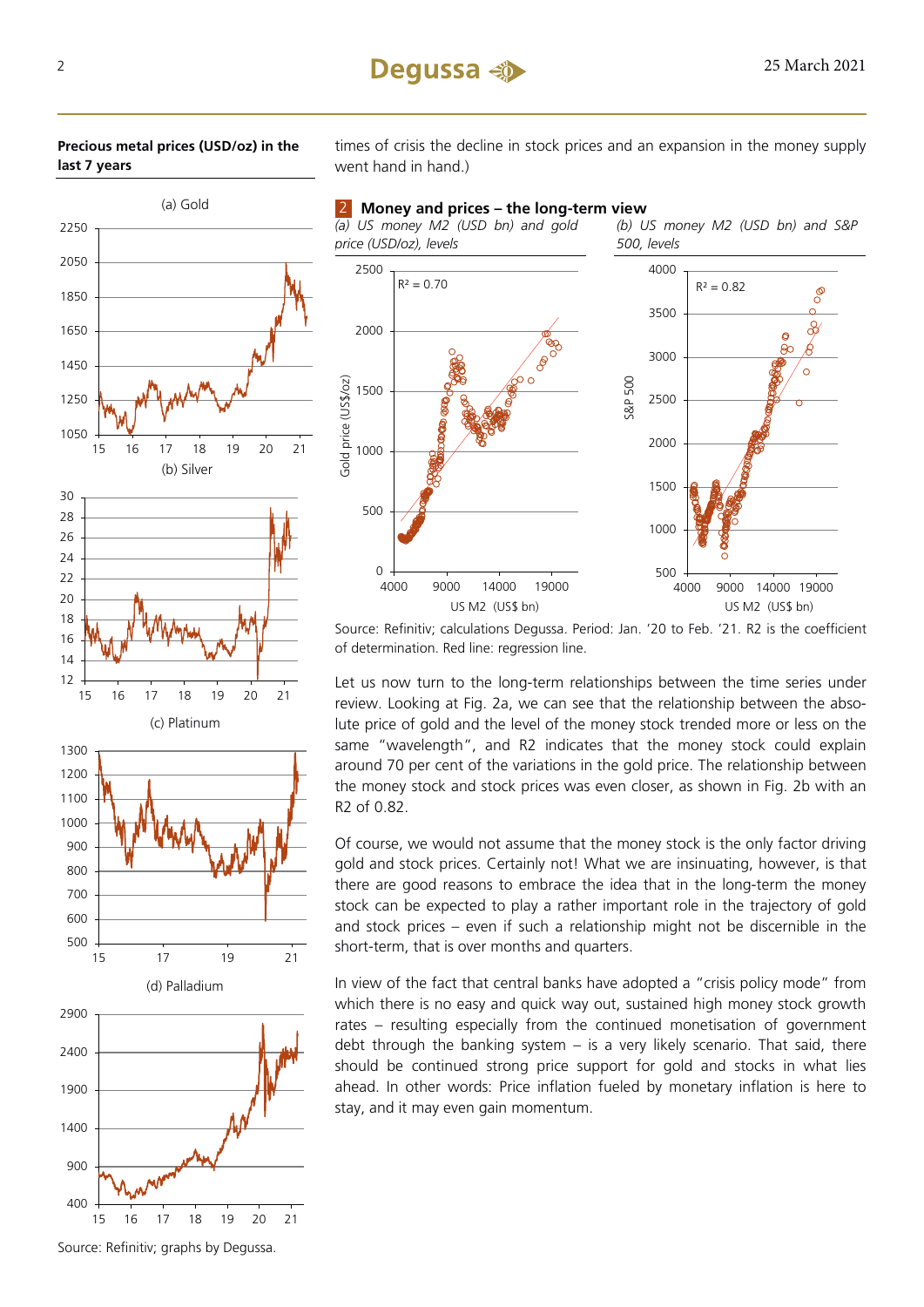

(c) Platinum





times of crisis the decline in stock prices and an expansion in the money supply went hand in hand.)

2 **Money and prices – the long-term view**

*(a) US money M2 (USD bn) and gold price (USD/oz), levels*

*(b) US money M2 (USD bn) and S&P 500, levels*



Source: Refinitiv; calculations Degussa. Period: Jan. '20 to Feb. '21. R2 is the coefficient of determination. Red line: regression line.

Let us now turn to the long-term relationships between the time series under review. Looking at Fig. 2a, we can see that the relationship between the absolute price of gold and the level of the money stock trended more or less on the same "wavelength", and R2 indicates that the money stock could explain around 70 per cent of the variations in the gold price. The relationship between the money stock and stock prices was even closer, as shown in Fig. 2b with an R2 of 0.82.

Of course, we would not assume that the money stock is the only factor driving gold and stock prices. Certainly not! What we are insinuating, however, is that there are good reasons to embrace the idea that in the long-term the money stock can be expected to play a rather important role in the trajectory of gold and stock prices – even if such a relationship might not be discernible in the short-term, that is over months and quarters.

In view of the fact that central banks have adopted a "crisis policy mode" from which there is no easy and quick way out, sustained high money stock growth rates – resulting especially from the continued monetisation of government debt through the banking system – is a very likely scenario. That said, there should be continued strong price support for gold and stocks in what lies ahead. In other words: Price inflation fueled by monetary inflation is here to stay, and it may even gain momentum.

Source: Refinitiv; graphs by Degussa.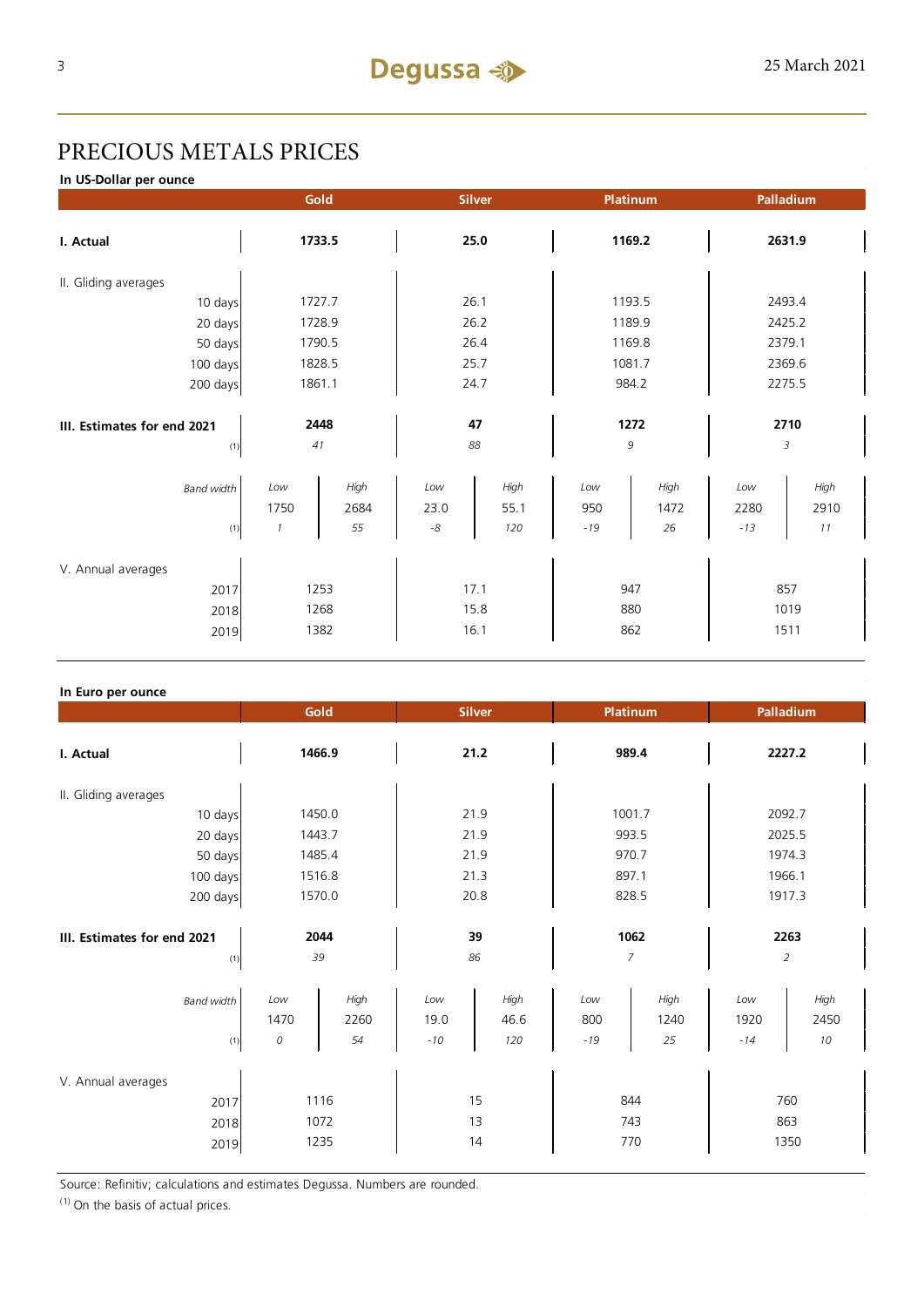## PRECIOUS METALS PRICES

**In US-Dollar per ounce**

|                             | Gold          |        | <b>Silver</b> |      | Platinum |        | Palladium |        |  |
|-----------------------------|---------------|--------|---------------|------|----------|--------|-----------|--------|--|
| I. Actual                   | 1733.5        |        | 25.0          |      | 1169.2   |        | 2631.9    |        |  |
| II. Gliding averages        |               |        |               |      |          |        |           |        |  |
| 10 days                     |               | 1727.7 |               | 26.1 |          | 1193.5 |           | 2493.4 |  |
| 20 days                     |               | 1728.9 |               | 26.2 |          | 1189.9 |           | 2425.2 |  |
| 50 days                     |               | 1790.5 |               | 26.4 |          | 1169.8 |           | 2379.1 |  |
| 100 days                    |               | 1828.5 |               | 25.7 |          | 1081.7 |           | 2369.6 |  |
| 200 days                    | 1861.1        |        | 24.7          |      | 984.2    |        | 2275.5    |        |  |
|                             |               |        |               |      |          |        |           |        |  |
| III. Estimates for end 2021 |               | 2448   |               | 47   |          | 1272   |           | 2710   |  |
| (1)                         |               | 41     |               | 88   |          | 9      |           | 3      |  |
| <b>Band width</b>           | Low           | High   | Low           | High | Low      | High   | Low       | High   |  |
|                             | 1750          | 2684   | 23.0          | 55.1 | 950      | 1472   | 2280      | 2910   |  |
| (1)                         | $\mathcal{I}$ | 55     | $\text{-}8$   | 120  | $-19$    | 26     | $-13$     | 11     |  |
|                             |               |        |               |      |          |        |           |        |  |
| V. Annual averages          |               |        |               |      |          |        |           |        |  |
| 2017                        | 1253          |        | 17.1          |      | 947      |        | 857       |        |  |
| 2018                        |               | 1268   |               | 15.8 |          | 880    |           | 1019   |  |
| 2019                        | 1382          |        | 16.1          |      | 862      |        | 1511      |        |  |

## **In Euro per ounce**

|                                            | Gold<br><b>Silver</b>     |                    | Platinum             |                     | Palladium           |                    |                        |                    |
|--------------------------------------------|---------------------------|--------------------|----------------------|---------------------|---------------------|--------------------|------------------------|--------------------|
| I. Actual                                  | 1466.9                    |                    | 21.2                 |                     | 989.4               |                    | 2227.2                 |                    |
| II. Gliding averages                       |                           |                    |                      |                     |                     |                    |                        |                    |
| 10 days                                    | 1450.0                    |                    | 21.9                 |                     | 1001.7              |                    | 2092.7                 |                    |
| 20 days                                    | 1443.7                    |                    | 21.9                 |                     | 993.5               |                    | 2025.5                 |                    |
| 50 days                                    | 1485.4                    |                    | 21.9                 |                     | 970.7               |                    | 1974.3                 |                    |
| 100 days                                   | 1516.8                    |                    | 21.3                 |                     | 897.1               |                    | 1966.1                 |                    |
| 200 days                                   | 1570.0                    |                    | 20.8                 |                     | 828.5               |                    | 1917.3                 |                    |
| III. Estimates for end 2021<br>(1)         | 2044<br>39                |                    | 39<br>86             |                     | 1062<br>7           |                    | 2263<br>$\overline{2}$ |                    |
| <b>Band width</b><br>(1)                   | Low<br>1470<br>${\cal O}$ | High<br>2260<br>54 | Low<br>19.0<br>$-10$ | High<br>46.6<br>120 | Low<br>800<br>$-19$ | High<br>1240<br>25 | Low<br>1920<br>$-14$   | High<br>2450<br>10 |
| V. Annual averages<br>2017<br>2018<br>2019 | 1116<br>1072<br>1235      |                    |                      | 15<br>13<br>14      | 844<br>743          | 770                | 863                    | 760<br>1350        |

Source: Refinitiv; calculations and estimates Degussa. Numbers are rounded.

 $(1)$  On the basis of actual prices.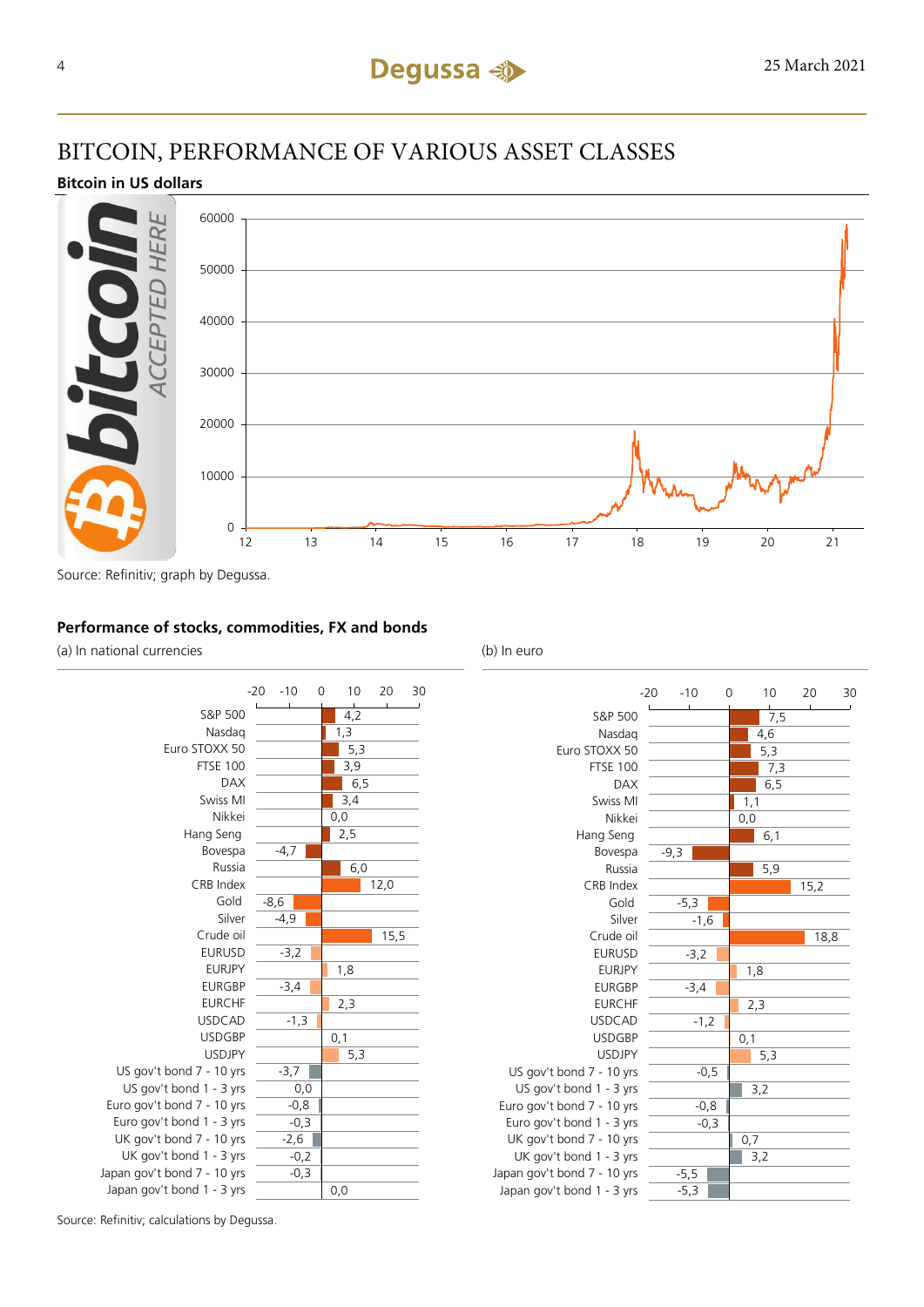## BITCOIN, PERFORMANCE OF VARIOUS ASSET CLASSES

## **Bitcoin in US dollars**



Source: Refinitiv; graph by Degussa.

## **Performance of stocks, commodities, FX and bonds**

(a) In national currencies (b) In euro





Source: Refinitiv; calculations by Degussa.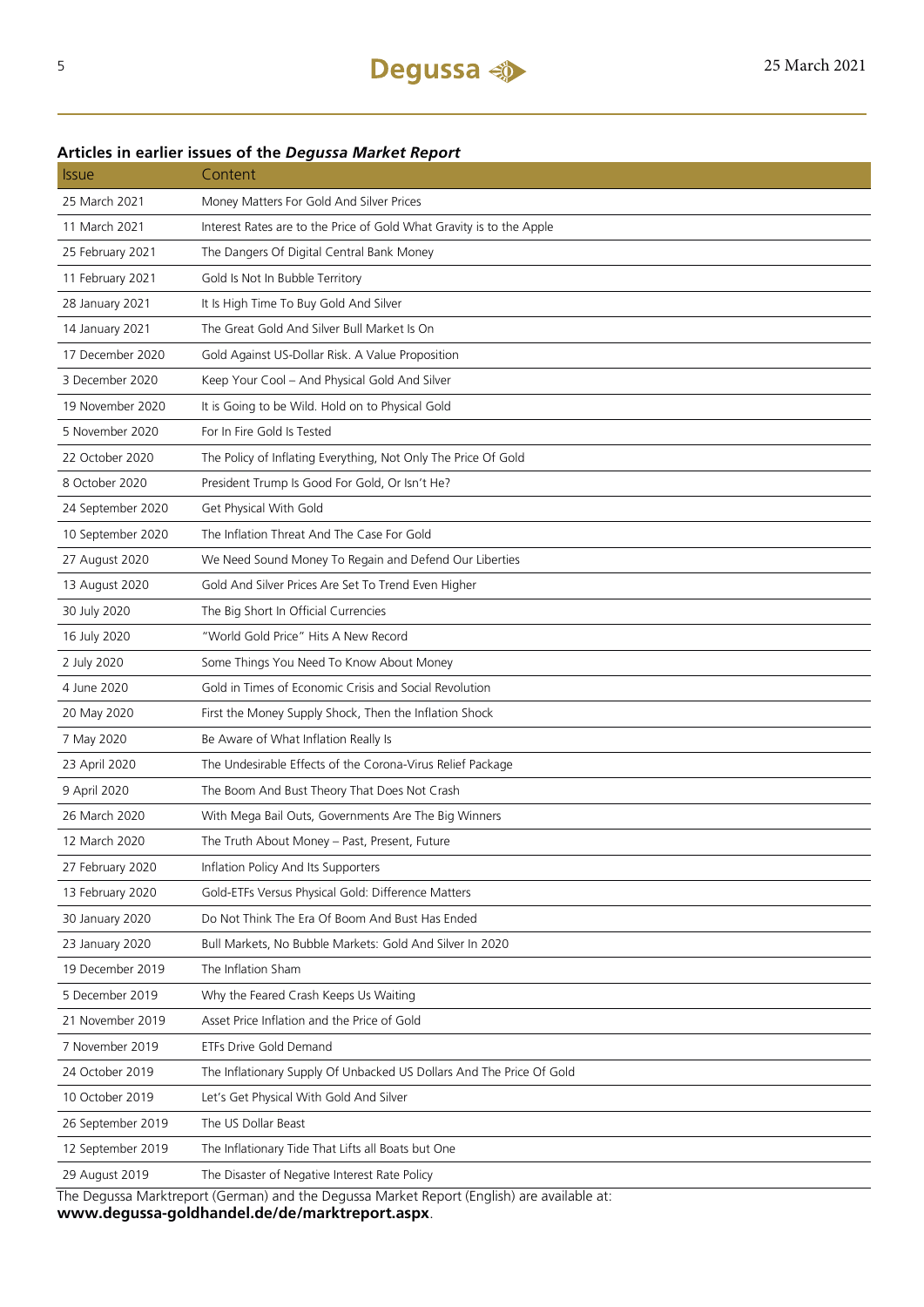## **Articles in earlier issues of the** *Degussa Market Report*

| <i><b>Issue</b></i> | Content                                                                                   |
|---------------------|-------------------------------------------------------------------------------------------|
| 25 March 2021       | Money Matters For Gold And Silver Prices                                                  |
| 11 March 2021       | Interest Rates are to the Price of Gold What Gravity is to the Apple                      |
| 25 February 2021    | The Dangers Of Digital Central Bank Money                                                 |
| 11 February 2021    | Gold Is Not In Bubble Territory                                                           |
| 28 January 2021     | It Is High Time To Buy Gold And Silver                                                    |
| 14 January 2021     | The Great Gold And Silver Bull Market Is On                                               |
| 17 December 2020    | Gold Against US-Dollar Risk. A Value Proposition                                          |
| 3 December 2020     | Keep Your Cool - And Physical Gold And Silver                                             |
| 19 November 2020    | It is Going to be Wild. Hold on to Physical Gold                                          |
| 5 November 2020     | For In Fire Gold Is Tested                                                                |
| 22 October 2020     | The Policy of Inflating Everything, Not Only The Price Of Gold                            |
| 8 October 2020      | President Trump Is Good For Gold, Or Isn't He?                                            |
| 24 September 2020   | Get Physical With Gold                                                                    |
| 10 September 2020   | The Inflation Threat And The Case For Gold                                                |
| 27 August 2020      | We Need Sound Money To Regain and Defend Our Liberties                                    |
| 13 August 2020      | Gold And Silver Prices Are Set To Trend Even Higher                                       |
| 30 July 2020        | The Big Short In Official Currencies                                                      |
| 16 July 2020        | "World Gold Price" Hits A New Record                                                      |
| 2 July 2020         | Some Things You Need To Know About Money                                                  |
| 4 June 2020         | Gold in Times of Economic Crisis and Social Revolution                                    |
| 20 May 2020         | First the Money Supply Shock, Then the Inflation Shock                                    |
| 7 May 2020          | Be Aware of What Inflation Really Is                                                      |
| 23 April 2020       | The Undesirable Effects of the Corona-Virus Relief Package                                |
| 9 April 2020        | The Boom And Bust Theory That Does Not Crash                                              |
| 26 March 2020       | With Mega Bail Outs, Governments Are The Big Winners                                      |
| 12 March 2020       | The Truth About Money - Past, Present, Future                                             |
| 27 February 2020    | Inflation Policy And Its Supporters                                                       |
| 13 February 2020    | Gold-ETFs Versus Physical Gold: Difference Matters                                        |
| 30 January 2020     | Do Not Think The Era Of Boom And Bust Has Ended                                           |
| 23 January 2020     | Bull Markets, No Bubble Markets: Gold And Silver In 2020                                  |
| 19 December 2019    | The Inflation Sham                                                                        |
| 5 December 2019     | Why the Feared Crash Keeps Us Waiting                                                     |
| 21 November 2019    | Asset Price Inflation and the Price of Gold                                               |
| 7 November 2019     | <b>ETFs Drive Gold Demand</b>                                                             |
| 24 October 2019     | The Inflationary Supply Of Unbacked US Dollars And The Price Of Gold                      |
| 10 October 2019     | Let's Get Physical With Gold And Silver                                                   |
| 26 September 2019   | The US Dollar Beast                                                                       |
| 12 September 2019   | The Inflationary Tide That Lifts all Boats but One                                        |
| 29 August 2019      | The Disaster of Negative Interest Rate Policy                                             |
|                     | The Deguses Marktropert (Cerman) and the Deguses Market Benert (English) are available at |

The Degussa Marktreport (German) and the Degussa Market Report (English) are available at: **www.degussa-goldhandel.de/de/marktreport.aspx**.